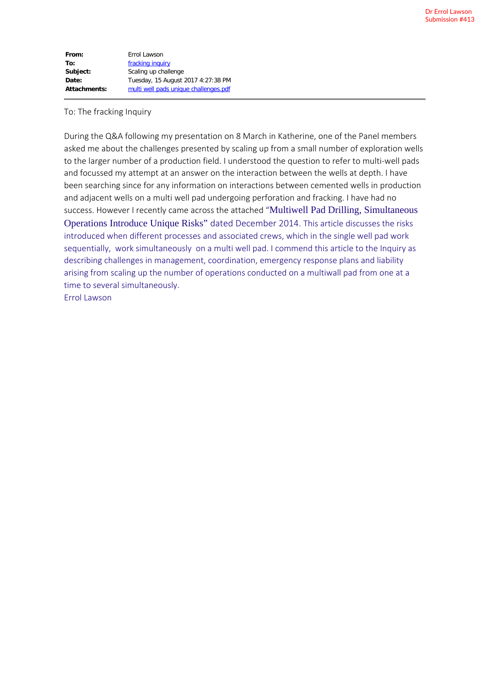| From:        | Errol Lawson                          |
|--------------|---------------------------------------|
| To:          | fracking inquiry                      |
| Subject:     | Scaling up challenge                  |
| Date:        | Tuesday, 15 August 2017 4:27:38 PM    |
| Attachments: | multi well pads unique challenges.pdf |

### To: The fracking Inquiry

During the Q&A following my presentation on 8 March in Katherine, one of the Panel members asked me about the challenges presented by scaling up from a small number of exploration wells to the larger number of a production field. I understood the question to refer to multi-well pads and focussed my attempt at an answer on the interaction between the wells at depth. I have been searching since for any information on interactions between cemented wells in production and adjacent wells on a multi well pad undergoing perforation and fracking. I have had no success. However I recently came across the attached "Multiwell Pad Drilling, Simultaneous Operations Introduce Unique Risks" dated December 2014. This article discusses the risks introduced when different processes and associated crews, which in the single well pad work sequentially, work simultaneously on a multi well pad. I commend this article to the Inquiry as describing challenges in management, coordination, emergency response plans and liability arising from scaling up the number of operations conducted on a multiwall pad from one at a time to several simultaneously. Errol Lawson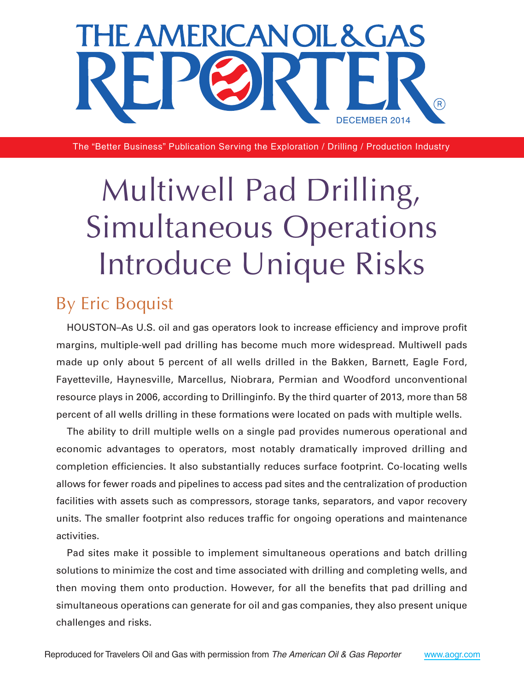

The "Better Business" Publication Serving the Exploration / Drilling / Production Industry

# Multiwell Pad Drilling, Simultaneous Operations Introduce Unique Risks

## By Eric Boquist

HOUSTON–As U.S. oil and gas operators look to increase efficiency and improve profit margins, multiple-well pad drilling has become much more widespread. Multiwell pads made up only about 5 percent of all wells drilled in the Bakken, Barnett, Eagle Ford, Fayetteville, Haynesville, Marcellus, Niobrara, Permian and Woodford unconventional resource plays in 2006, according to Drillinginfo. By the third quarter of 2013, more than 58 percent of all wells drilling in these formations were located on pads with multiple wells.

The ability to drill multiple wells on a single pad provides numerous operational and economic advantages to operators, most notably dramatically improved drilling and completion efficiencies. It also substantially reduces surface footprint. Co-locating wells allows for fewer roads and pipelines to access pad sites and the centralization of production facilities with assets such as compressors, storage tanks, separators, and vapor recovery units. The smaller footprint also reduces traffic for ongoing operations and maintenance activities.

Pad sites make it possible to implement simultaneous operations and batch drilling solutions to minimize the cost and time associated with drilling and completing wells, and then moving them onto production. However, for all the benefits that pad drilling and simultaneous operations can generate for oil and gas companies, they also present unique challenges and risks.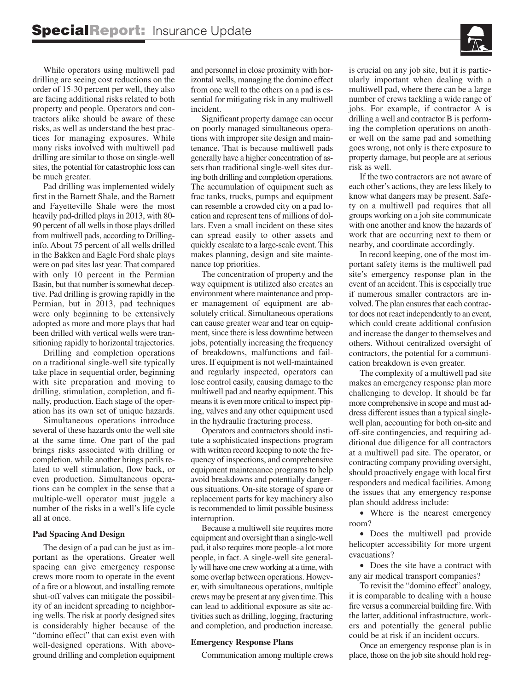

While operators using multiwell pad drilling are seeing cost reductions on the order of 15-30 percent per well, they also are facing additional risks related to both property and people. Operators and contractors alike should be aware of these risks, as well as understand the best practices for managing exposures. While many risks involved with multiwell pad drilling are similar to those on single-well sites, the potential for catastrophic loss can be much greater.

Pad drilling was implemented widely first in the Barnett Shale, and the Barnett and Fayetteville Shale were the most heavily pad-drilled plays in 2013, with 80-90 percent of all wells in those plays drilled from multiwell pads, according to Drillinginfo. About 75 percent of all wells drilled in the Bakken and Eagle Ford shale plays were on pad sites last year. That compared with only 10 percent in the Permian Basin, but that number is somewhat deceptive. Pad drilling is growing rapidly in the Permian, but in 2013, pad techniques were only beginning to be extensively adopted as more and more plays that had been drilled with vertical wells were transitioning rapidly to horizontal trajectories.

Drilling and completion operations on a traditional single-well site typically take place in sequential order, beginning with site preparation and moving to drilling, stimulation, completion, and finally, production. Each stage of the operation has its own set of unique hazards.

Simultaneous operations introduce several of these hazards onto the well site at the same time. One part of the pad brings risks associated with drilling or completion, while another brings perils related to well stimulation, flow back, or even production. Simultaneous operations can be complex in the sense that a multiple-well operator must juggle a number of the risks in a well's life cycle all at once.

#### **Pad Spacing And Design**

The design of a pad can be just as important as the operations. Greater well spacing can give emergency response crews more room to operate in the event of a fire or a blowout, and installing remote shut-off valves can mitigate the possibility of an incident spreading to neighboring wells. The risk at poorly designed sites is considerably higher because of the "domino effect" that can exist even with well-designed operations. With aboveground drilling and completion equipment and personnel in close proximity with horizontal wells, managing the domino effect from one well to the others on a pad is essential for mitigating risk in any multiwell incident.

Significant property damage can occur on poorly managed simultaneous operations with improper site design and maintenance. That is because multiwell pads generally have a higher concentration of assets than traditional single-well sites during both drilling and completion operations. The accumulation of equipment such as frac tanks, trucks, pumps and equipment can resemble a crowded city on a pad location and represent tens of millions of dollars. Even a small incident on these sites can spread easily to other assets and quickly escalate to a large-scale event. This makes planning, design and site maintenance top priorities.

The concentration of property and the way equipment is utilized also creates an environment where maintenance and proper management of equipment are absolutely critical. Simultaneous operations can cause greater wear and tear on equipment, since there is less downtime between jobs, potentially increasing the frequency of breakdowns, malfunctions and failures. If equipment is not well-maintained and regularly inspected, operators can lose control easily, causing damage to the multiwell pad and nearby equipment. This means it is even more critical to inspect piping, valves and any other equipment used in the hydraulic fracturing process.

Operators and contractors should institute a sophisticated inspections program with written record keeping to note the frequency of inspections, and comprehensive equipment maintenance programs to help avoid breakdowns and potentially dangerous situations. On-site storage of spare or replacement parts for key machinery also is recommended to limit possible business interruption.

Because a multiwell site requires more equipment and oversight than a single-well pad, it also requires more people–a lot more people, in fact. A single-well site generally will have one crew working at a time, with some overlap between operations. However, with simultaneous operations, multiple crews may be present at any given time.This can lead to additional exposure as site activities such as drilling, logging, fracturing and completion, and production increase.

#### **Emergency Response Plans**

Communication among multiple crews

is crucial on any job site, but it is particularly important when dealing with a multiwell pad, where there can be a large number of crews tackling a wide range of jobs. For example, if contractor A is drilling a well and contractor B is performing the completion operations on another well on the same pad and something goes wrong, not only is there exposure to property damage, but people are at serious risk as well.

If the two contractors are not aware of each other's actions, they are less likely to know what dangers may be present. Safety on a multiwell pad requires that all groups working on a job site communicate with one another and know the hazards of work that are occurring next to them or nearby, and coordinate accordingly.

In record keeping, one of the most important safety items is the multiwell pad site's emergency response plan in the event of an accident. This is especially true if numerous smaller contractors are involved. The plan ensures that each contractor does not react independently to an event, which could create additional confusion and increase the danger to themselves and others. Without centralized oversight of contractors, the potential for a communication breakdown is even greater.

The complexity of a multiwell pad site makes an emergency response plan more challenging to develop. It should be far more comprehensive in scope and must address different issues than a typical singlewell plan, accounting for both on-site and off-site contingencies, and requiring additional due diligence for all contractors at a multiwell pad site. The operator, or contracting company providing oversight, should proactively engage with local first responders and medical facilities. Among the issues that any emergency response plan should address include:

• Where is the nearest emergency room?

• Does the multiwell pad provide helicopter accessibility for more urgent evacuations?

• Does the site have a contract with any air medical transport companies?

To revisit the "domino effect" analogy, it is comparable to dealing with a house fire versus a commercial building fire.With the latter, additional infrastructure, workers and potentially the general public could be at risk if an incident occurs.

Once an emergency response plan is in place, those on the job site should hold reg-